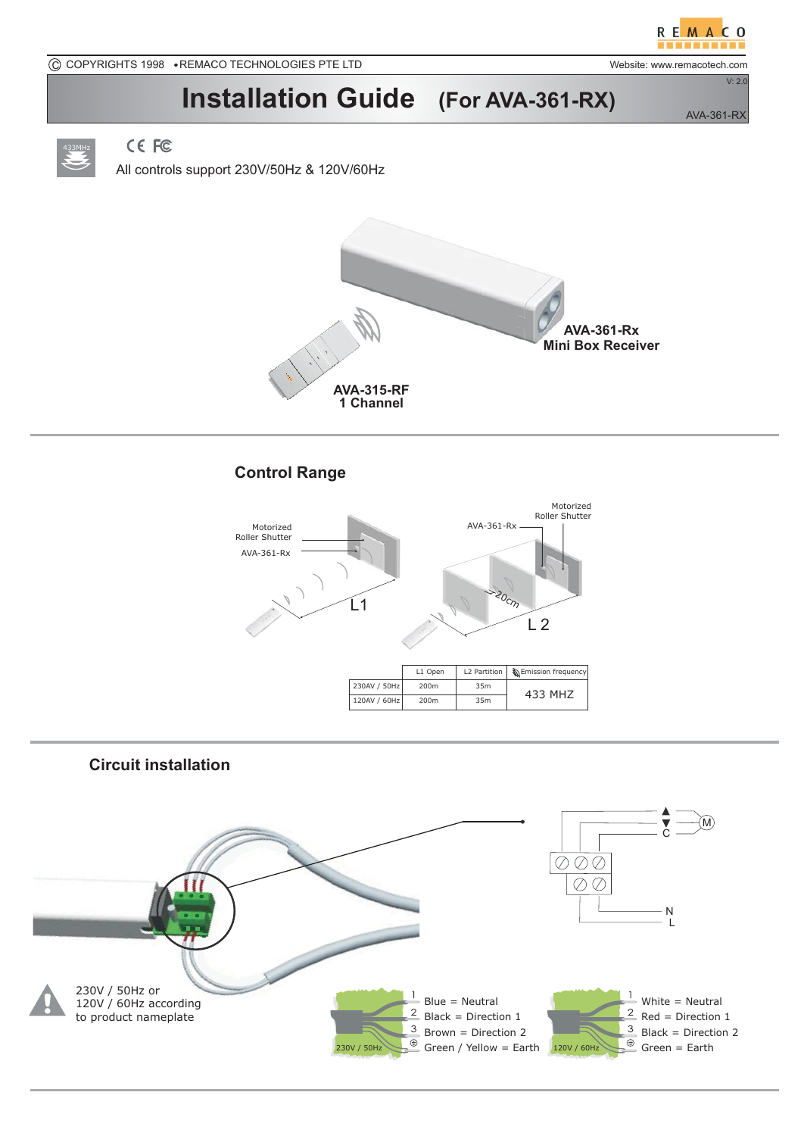